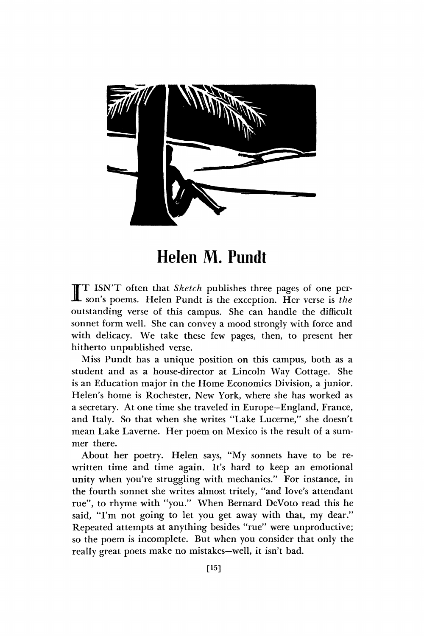

**Helen M. Pundt** 

I ISN'T often that *Sketch* publishes three pages of one person's poems. Helen Pundt is the exception. Her verse is the T ISN'T often that *Sketch* publishes three pages of one peroutstanding verse of this campus. She can handle the difficult sonnet form well. She can convey a mood strongly with force and with delicacy. We take these few pages, then, to present her hitherto unpublished verse.

Miss Pundt has a unique position on this campus, both as a student and as a house-director at Lincoln Way Cottage. She is an Education major in the Home Economics Division, a junior. Helen's home is Rochester, New York, where she has worked as a secretary. At one time she traveled in Europe—England, France, and Italy. So that when she writes "Lake Lucerne," she doesn't mean Lake Laverne. Her poem on Mexico is the result of a summer there.

About her poetry. Helen says, "My sonnets have to be rewritten time and time again. It's hard to keep an emotional unity when you're struggling with mechanics." For instance, in the fourth sonnet she writes almost tritely, "and love's attendant rue", to rhyme with "you." When Bernard DeVoto read this he said, "I'm not going to let you get away with that, my dear." Repeated attempts at anything besides "rue" were unproductive; so the poem is incomplete. But when you consider that only the really great poets make no mistakes—well, it isn't bad.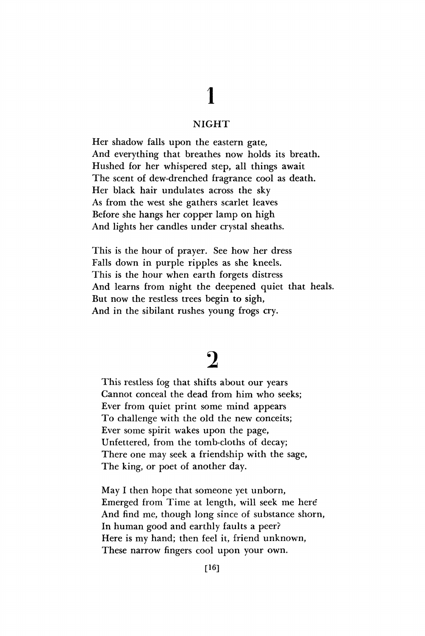# **1**

### NIGHT

Her shadow falls upon the eastern gate, And everything that breathes now holds its breath. Hushed for her whispered step, all things await The scent of dew-drenched fragrance cool as death. Her black hair undulates across the sky As from the west she gathers scarlet leaves Before she hangs her copper lamp on high And lights her candles under crystal sheaths.

This is the hour of prayer. See how her dress Falls down in purple ripples as she kneels. This is the hour when earth forgets distress And learns from night the deepened quiet that heals. But now the restless trees begin to sigh, And in the sibilant rushes young frogs cry.

## **2**

This restless fog that shifts about our years Cannot conceal the dead from him who seeks; Ever from quiet print some mind appears To challenge with the old the new conceits; Ever some spirit wakes upon the page, Unfettered, from the tomb-cloths of decay; There one may seek a friendship with the sage, The king, or poet of another day.

May I then hope that someone yet unborn, Emerged from Time at length, will seek me here\* And find me, though long since of substance shorn, In human good and earthly faults a peer? Here is my hand; then feel it, friend unknown, These narrow fingers cool upon your own.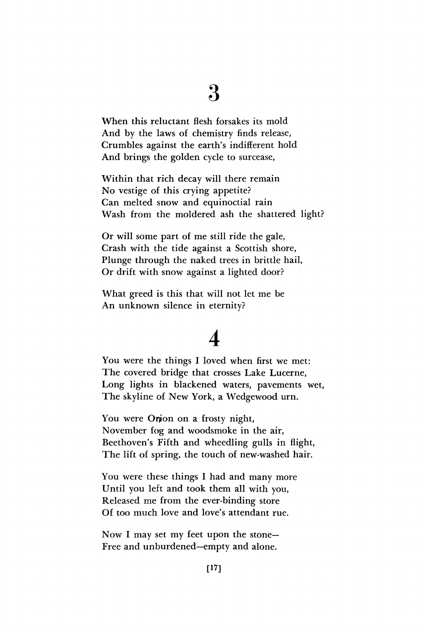### **3**

When this reluctant flesh forsakes its mold And by the laws of chemistry finds release, Crumbles against the earth's indifferent hold And brings the golden cycle to surcease,

Within that rich decay will there remain No vestige of this crying appetite? Can melted snow and equinoctial rain Wash from the moldered ash the shattered light?

Or will some part of me still ride the gale, Crash with the tide against a Scottish shore, Plunge through the naked trees in brittle hail, Or drift with snow against a lighted door?

What greed is this that will not let me be An unknown silence in eternity?

## **4**

You were the things I loved when first we met: The covered bridge that crosses Lake Lucerne, Long lights in blackened waters, pavements wet, The skyline of New York, a Wedgewood urn.

You were Onion on a frosty night, November fog and woodsmoke in the air, Beethoven's Fifth and wheedling gulls in flight, The lift of spring, the touch of new-washed hair.

You were these things I had and many more Until you left and took them all with you, Released me from the ever-binding store Of too much love and love's attendant rue.

Now I may set my feet upon the stone-Free and unburdened—empty and alone.